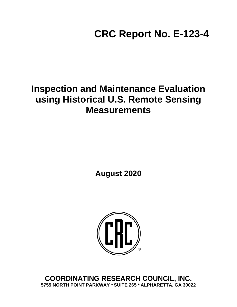**CRC Report No. E-123-4**

## **Inspection and Maintenance Evaluation using Historical U.S. Remote Sensing Measurements**

**August 2020**



**COORDINATING RESEARCH COUNCIL, INC. 5755 NORTH POINT PARKWAY ● SUITE 265 ● ALPHARETTA, GA 30022**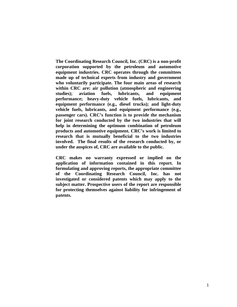**The Coordinating Research Council, Inc. (CRC) is a non-profit corporation supported by the petroleum and automotive equipment industries. CRC operates through the committees made up of technical experts from industry and government who voluntarily participate. The four main areas of research within CRC are: air pollution (atmospheric and engineering studies); aviation fuels, lubricants, and equipment performance; heavy-duty vehicle fuels, lubricants, and equipment performance (e.g., diesel trucks); and light-duty vehicle fuels, lubricants, and equipment performance (e.g., passenger cars). CRC's function is to provide the mechanism for joint research conducted by the two industries that will help in determining the optimum combination of petroleum products and automotive equipment. CRC's work is limited to research that is mutually beneficial to the two industries involved. The final results of the research conducted by, or under the auspices of, CRC are available to the public.**

**CRC makes no warranty expressed or implied on the application of information contained in this report. In formulating and approving reports, the appropriate committee of the Coordinating Research Council, Inc. has not investigated or considered patents which may apply to the subject matter. Prospective users of the report are responsible for protecting themselves against liability for infringement of patents.**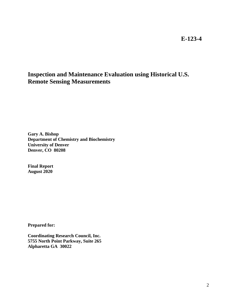**E-123-4**

## **Inspection and Maintenance Evaluation using Historical U.S. Remote Sensing Measurements**

**Gary A. Bishop Department of Chemistry and Biochemistry University of Denver Denver, CO 80208**

**Final Report August 2020**

**Prepared for:**

**Coordinating Research Council, Inc. 5755 North Point Parkway, Suite 265 Alpharetta GA 30022**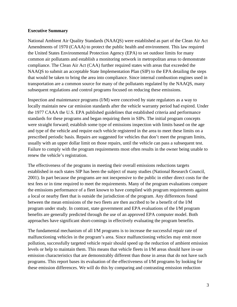## **Executive Summary**

National Ambient Air Quality Standards (NAAQS) were established as part of the Clean Air Act Amendments of 1970 (CAAA) to protect the public health and environment. This law required the United States Environmental Protection Agency (EPA) to set outdoor limits for many common air pollutants and establish a monitoring network in metropolitan areas to demonstrate compliance. The Clean Air Act (CAA) further required states with areas that exceeded the NAAQS to submit an acceptable State Implementation Plan (SIP) to the EPA detailing the steps that would be taken to bring the area into compliance. Since internal combustion engines used in transportation are a common source for many of the pollutants regulated by the NAAQS, many subsequent regulations and control programs focused on reducing these emissions.

Inspection and maintenance programs (I/M) were conceived by state regulators as a way to locally maintain new car emission standards after the vehicle warranty period had expired. Under the 1977 CAAA the U.S. EPA published guidelines that established criteria and performance standards for these programs and began requiring them in SIPs. The initial program concepts were straight forward; establish some type of emissions inspection with limits based on the age and type of the vehicle and require each vehicle registered in the area to meet these limits on a prescribed periodic basis. Repairs are suggested for vehicles that don't meet the program limits, usually with an upper dollar limit on those repairs, until the vehicle can pass a subsequent test. Failure to comply with the program requirements most often results in the owner being unable to renew the vehicle's registration.

The effectiveness of the programs in meeting their overall emissions reductions targets established in each states SIP has been the subject of many studies (National Research Council, 2001). In part because the programs are not inexpensive to the public in either direct costs for the test fees or in time required to meet the requirements. Many of the program evaluations compare the emissions performance of a fleet known to have complied with program requirements against a local or nearby fleet that is outside the jurisdiction of the program. Any differences found between the mean emissions of the two fleets are then ascribed to be a benefit of the I/M program under study. In contrast, state government and EPA evaluations of the I/M program benefits are generally predicted through the use of an approved EPA computer model. Both approaches have significant short-comings in effectively evaluating the program benefits.

The fundamental mechanism of all I/M programs is to increase the successful repair rate of malfunctioning vehicles in the program's area. Since malfunctioning vehicles may emit more pollution, successfully targeted vehicle repair should speed up the reduction of ambient emission levels or help to maintain them. This means that vehicle fleets in I/M areas should have in-use emission characteristics that are demonstrably different than those in areas that do not have such programs. This report bases its evaluation of the effectiveness of I/M programs by looking for these emission differences. We will do this by comparing and contrasting emission reduction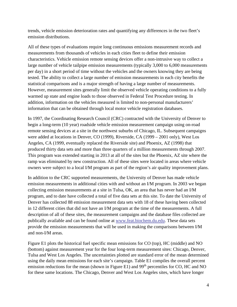trends, vehicle emission deterioration rates and quantifying any differences in the two fleet's emission distributions.

All of these types of evaluations require long continuous emissions measurement records and measurements from thousands of vehicles in each cities fleet to define their emission characteristics. Vehicle emission remote sensing devices offer a non-intrusive way to collect a large number of vehicle tailpipe emission measurements (typically 3,000 to 6,000 measurements per day) in a short period of time without the vehicles and the owners knowing they are being tested. The ability to collect a large number of emission measurements in each city benefits the statistical comparisons and is a major strength of having a large number of measurements. However, measurement sites generally limit the observed vehicle operating conditions to a fully warmed up state and engine loads to those observed in Federal Test Procedure testing. In addition, information on the vehicles measured is limited to non-personal manufacturers' information that can be obtained through local motor vehicle registration databases.

In 1997, the Coordinating Research Council (CRC) contracted with the University of Denver to begin a long-term (10 year) roadside vehicle emission measurement campaign using on-road remote sensing devices at a site in the northwest suburbs of Chicago, IL. Subsequent campaigns were added at locations in Denver, CO (1999), Riverside, CA (1999 – 2001 only), West Los Angeles, CA (1999, eventually replaced the Riverside site) and Phoenix, AZ (1998) that produced thirty data sets and more than three quarters of a million measurements through 2007. This program was extended starting in 2013 at all of the sites but the Phoenix, AZ site where the ramp was eliminated by new construction. All of these sites were located in areas where vehicle owners were subject to a local I/M program as part of the region's air quality improvement plans.

In addition to the CRC supported measurements, the University of Denver has made vehicle emission measurements in additional cities with and without an I/M program. In 2003 we began collecting emission measurements at a site in Tulsa, OK, an area that has never had an I/M program, and to date have collected a total of five data sets at this site. To date the University of Denver has collected 88 emission measurement data sets with 18 of these having been collected in 12 different cities that did not have an I/M program at the time of the measurements. A full description of all of these sites, the measurement campaigns and the database files collected are publically available and can be found online at [www.feat.biochem.du.edu.](http://www.feat.biochem.du.edu/) These data sets provide the emission measurements that will be used in making the comparisons between I/M and non-I/M areas.

Figure E1 plots the historical fuel specific mean emissions for CO (top), HC (middle) and NO (bottom) against measurement year for the four long-term measurement sites: Chicago, Denver, Tulsa and West Los Angeles. The uncertainties plotted are standard error of the mean determined using the daily mean emissions for each site's campaign. Table E1 compiles the overall percent emission reductions for the mean (shown in Figure E1) and  $99<sup>th</sup>$  percentiles for CO, HC and NO for these same locations. The Chicago, Denver and West Los Angeles sites, which have longer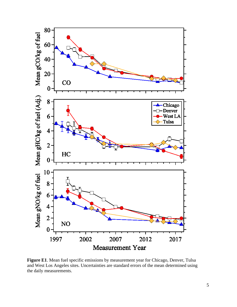

**Figure E1**. Mean fuel specific emissions by measurement year for Chicago, Denver, Tulsa and West Los Angeles sites. Uncertainties are standard errors of the mean determined using the daily measurements.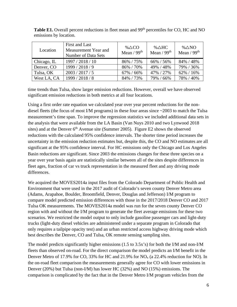| Location    | First and Last<br>Measurement Year and<br>Number of Data Sets | % $\triangle CO$<br>Mean $/99th$ | % $\triangle$ HC<br>Mean / $99th$ | % $\triangle$ NO<br>Mean $/99th$ |
|-------------|---------------------------------------------------------------|----------------------------------|-----------------------------------|----------------------------------|
| Chicago, IL | 1997 / 2018 / 10                                              | 86% / 75%                        | 66% / 56%                         | 84% / 48%                        |
| Denver, CO  | 1999 / 2018 / 9                                               | 86% / 70%                        | 49% / 48%                         | 79% / 36%                        |
| Tulsa, OK   | 2003 / 2017 / 5                                               | 67% / 66%                        | 47% / 27%                         | $62\% / 16\%$                    |
| West LA, CA | 1999 / 2018 / 8                                               | 84% / 73%                        | 79% / 66%                         | 78% / 40%                        |

Table E1. Overall percent reductions in fleet mean and 99<sup>th</sup> percentiles for CO, HC and NO emissions by location.

time trends than Tulsa, show larger emission reductions. However, overall we have observed significant emission reductions in both metrics at all four locations.

Using a first order rate equation we calculated year over year percent reductions for the nondiesel fleets (the focus of most I/M programs) in these four areas since ~2003 to match the Tulsa measurement's time span. To improve the regression statistics we included additional data sets in the analysis that were available from the LA Basin (Van Nuys 2010 and two Lynwood 2018 sites) and at the Denver  $6<sup>th</sup>$  Avenue site (Summer 2005). Figure E2 shows the observed reductions with the calculated 95% confidence intervals. The shorter time period increases the uncertainty in the emission reduction estimates but, despite this, the CO and NO estimates are all significant at the 95% confidence interval. For HC emissions only the Chicago and Los Angeles Basin reductions are significant. Since 2003 the emissions changes for these three species on a year over year basis again are statistically similar between all of the sites despite differences in fleet ages, fraction of car vs truck representation in the measured fleet and any driving mode differences.

We acquired the MOVES2014a input files from the Colorado Department of Public Health and Environment that were used in the 2017 audit of Colorado's seven county Denver Metro area (Adams, Arapahoe, Boulder, Broomfield, Denver, Douglas and Jefferson) I/M program to compare model predicted emission differences with those in the 2017/2018 Denver CO and 2017 Tulsa OK measurements. The MOVES2014a model was run for the seven county Denver CO region with and without the I/M program to generate the fleet average emissions for these two scenarios. We restricted the model output to only include gasoline passenger cars and light-duty trucks (light-duty diesel vehicles are administered under a separate program in Colorado that only requires a tailpipe opacity test) and an urban restricted access highway driving mode which best describes the Denver, CO and Tulsa, OK remote sensing sampling sites.

The model predicts significantly higher emissions (1.5 to 3.5x's) for both the I/M and non-I/M fleets than observed on-road. For the direct comparison the model predicts an I/M benefit in the Denver Metro of 17.9% for CO, 33% for HC and  $21.9\%$  for NO<sub>x</sub> (a 22.4% reduction for NO). In the on-road fleet comparison the measurements generally agree for CO with lower emissions in Denver (20%) but Tulsa (non-I/M) has lower HC (32%) and NO (15%) emissions. The comparison is complicated by the fact that in the Denver Metro I/M program vehicles from the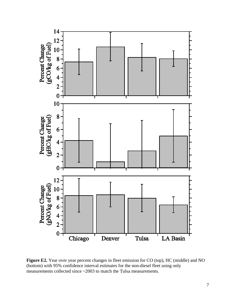

**Figure E2.** Year over year percent changes in fleet emission for CO (top), HC (middle) and NO (bottom) with 95% confidence interval estimates for the non-diesel fleet using only measurements collected since ~2003 to match the Tulsa measurements.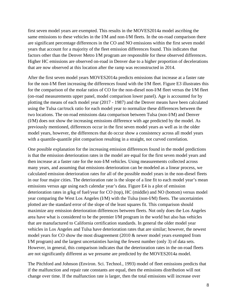first seven model years are exempted. This results in the MOVES2014a model ascribing the same emissions to these vehicles in the I/M and non-I/M fleets. In the on-road comparison there are significant percentage differences in the CO and NO emissions within the first seven model years that account for a majority of the fleet emission differences found. This indicates that factors other than the Denver Metro I/M program are responsible for these observed differences. Higher HC emissions are observed on-road in Denver due to a higher proportion of decelerations that are now observed at this location after the ramp was reconstructed in 2014.

After the first seven model years MOVES2014a predicts emissions that increase at a faster rate for the non-I/M fleet increasing the differences found with the I/M fleet. Figure E3 illustrates this for the comparison of the molar ratios of CO for the non-diesel non-I/M fleet versus the I/M fleet (on-road measurements upper panel, model comparison lower panel). Age is accounted for by plotting the means of each model year (2017 - 1987) and the Denver means have been calculated using the Tulsa car/truck ratio for each model year to normalize these differences between the two locations. The on-road emissions data comparison between Tulsa (non-I/M) and Denver (I/M) does not show the increasing emissions difference with age predicted by the model. As previously mentioned, differences occur in the first seven model years as well as in the older model years, however, the differences that do occur show a consistency across all model years with a quantile-quantile plot comparison resulting in a straight, not curved correlation.

One possible explanation for the increasing emission differences found in the model predictions is that the emission deterioration rates in the model are equal for the first seven model years and then increase at a faster rate for the non-I/M vehicles. Using measurements collected across many years, and assuming that emissions deterioration can be modeled as a linear process, we calculated emission deterioration rates for all of the possible model years in the non-diesel fleets in our four major cities. The deterioration rate is the slope of a line fit to each model year's mean emissions versus age using each calendar year's data. Figure E4 is a plot of emission deterioration rates in g/kg of fuel/year for CO (top), HC (middle) and NO (bottom) versus model year comparing the West Los Angeles (I/M) with the Tulsa (non-I/M) fleets. The uncertainties plotted are the standard error of the slope of the least squares fit. This comparison should maximize any emission deterioration differences between fleets. Not only does the Los Angeles area have what is considered to be the premier I/M program in the world but also has vehicles that are manufactured to California certification standards. In general the older model year vehicles in Los Angeles and Tulsa have deterioration rates that are similar; however, the newest model years for CO show the most disagreement (2010 & newer model years exempted from I/M program) and the largest uncertainties having the fewest number (only 3) of data sets. However, in general, this comparison indicates that the deterioration rates in the on-road fleets are not significantly different as we presume are predicted by the MOVES2014a model.

The Pitchford and Johnson (Environ. Sci. Technol., 1993) model of fleet emissions predicts that if the malfunction and repair rate constants are equal, then the emissions distribution will not change over time. If the malfunction rate is larger, then the total emissions will increase over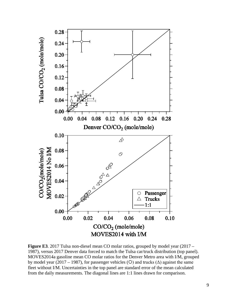

**Figure E3**. 2017 Tulsa non-diesel mean CO molar ratios, grouped by model year (2017 – 1987), versus 2017 Denver data forced to match the Tulsa car/truck distribution (top panel). MOVES2014a gasoline mean CO molar ratios for the Denver Metro area with I/M, grouped by model year (2017 – 1987), for passenger vehicles (O) and trucks ( $\Delta$ ) against the same fleet without I/M. Uncertainties in the top panel are standard error of the mean calculated from the daily measurements. The diagonal lines are 1:1 lines drawn for comparison.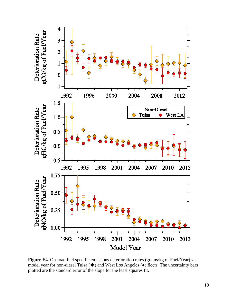

**Figure E4**. On-road fuel specific emissions deterioration rates (grams/kg of Fuel/Year) vs. model year for non-diesel Tulsa  $(\blacklozenge)$  and West Los Angeles  $(\blacklozenge)$  fleets. The uncertainty bars plotted are the standard error of the slope for the least squares fit.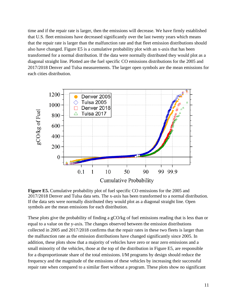time and if the repair rate is larger, then the emissions will decrease. We have firmly established that U.S. fleet emissions have decreased significantly over the last twenty years which means that the repair rate is larger than the malfunction rate and that fleet emission distributions should also have changed. Figure E5 is a cumulative probability plot with an x-axis that has been transformed for a normal distribution. If the data were normally distributed they would plot as a diagonal straight line. Plotted are the fuel specific CO emissions distributions for the 2005 and 2017/2018 Denver and Tulsa measurements. The larger open symbols are the mean emissions for each cities distribution.



**Figure E5.** Cumulative probability plot of fuel specific CO emissions for the 2005 and 2017/2018 Denver and Tulsa data sets. The x-axis has been transformed to a normal distribution. If the data sets were normally distributed they would plot as a diagonal straight line. Open symbols are the mean emissions for each distribution.

These plots give the probability of finding a gCO/kg of fuel emissions reading that is less than or equal to a value on the y-axis. The changes observed between the emission distributions collected in 2005 and 2017/2018 confirms that the repair rates in these two fleets is larger than the malfunction rate as the emission distributions have changed significantly since 2005. In addition, these plots show that a majority of vehicles have zero or near zero emissions and a small minority of the vehicles, those at the top of the distribution in Figure E5, are responsible for a disproportionate share of the total emissions. I/M programs by design should reduce the frequency and the magnitude of the emissions of these vehicles by increasing their successful repair rate when compared to a similar fleet without a program. These plots show no significant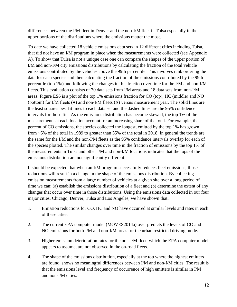differences between the I/M fleet in Denver and the non-I/M fleet in Tulsa especially in the upper portions of the distributions where the emissions matter the most.

To date we have collected 18 vehicle emissions data sets in 12 different cities including Tulsa, that did not have an I/M program in place when the measurements were collected (see Appendix A). To show that Tulsa is not a unique case one can compare the shapes of the upper portion of I/M and non-I/M city emissions distributions by calculating the fraction of the total vehicle emissions contributed by the vehicles above the 99th percentile. This involves rank ordering the data for each species and then calculating the fraction of the emissions contributed by the 99th percentile (top 1%) and following the changes in this fraction over time for the I/M and non-I/M fleets. This evaluation consists of 70 data sets from I/M areas and 18 data sets from non-I/M areas. Figure ES6 is a plot of the top 1% emissions fraction for CO (top), HC (middle) and NO (bottom) for I/M fleets ( $\bullet$ ) and non-I/M fleets ( $\Delta$ ) versus measurement year. The solid lines are the least squares best fit lines to each data set and the dashed lines are the 95% confidence intervals for those fits. As the emissions distribution has become skewed, the top 1% of the measurements at each location account for an increasing share of the total. For example, the percent of CO emissions, the species collected the longest, emitted by the top 1% has grown from ~5% of the total in 1989 to greater than 35% of the total in 2018. In general the trends are the same for the I/M and the non-I/M fleets as the 95% confidence intervals overlap for each of the species plotted. The similar changes over time in the fraction of emissions by the top 1% of the measurements in Tulsa and other I/M and non-I/M locations indicates that the tops of the emissions distribution are not significantly different.

It should be expected that when an I/M program successfully reduces fleet emissions, those reductions will result in a change in the shape of the emissions distribution. By collecting emission measurements from a large number of vehicles at a given site over a long period of time we can: (a) establish the emissions distribution of a fleet and (b) determine the extent of any changes that occur over time in those distributions. Using the emissions data collected in our four major cities, Chicago, Denver, Tulsa and Los Angeles, we have shown that:

- 1. Emission reductions for CO, HC and NO have occurred at similar levels and rates in each of these cities.
- 2. The current EPA computer model (MOVES2014a) over predicts the levels of CO and NO emissions for both I/M and non-I/M areas for the urban restricted driving mode.
- 3. Higher emission deterioration rates for the non-I/M fleet, which the EPA computer model appears to assume, are not observed in the on-road fleets.
- 4. The shape of the emissions distribution, especially at the top where the highest emitters are found, shows no meaningful differences between I/M and non-I/M cities. The result is that the emissions level and frequency of occurrence of high emitters is similar in I/M and non-I/M cities.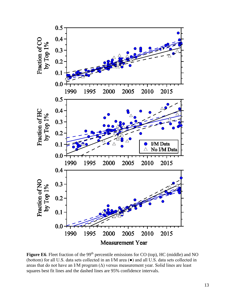

**Figure E6**. Fleet fraction of the 99<sup>th</sup> percentile emissions for CO (top), HC (middle) and NO (bottom) for all U.S. data sets collected in an I/M area (●) and all U.S. data sets collected in areas that do not have an I/M program  $(\Delta)$  versus measurement year. Solid lines are least squares best fit lines and the dashed lines are 95% confidence intervals.